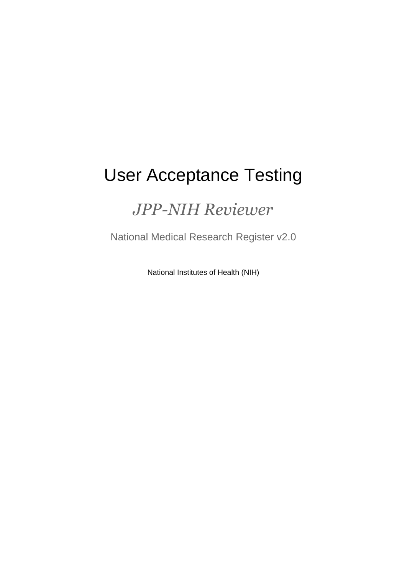# User Acceptance Testing

## *JPP-NIH Reviewer*

National Medical Research Register v2.0

National Institutes of Health (NIH)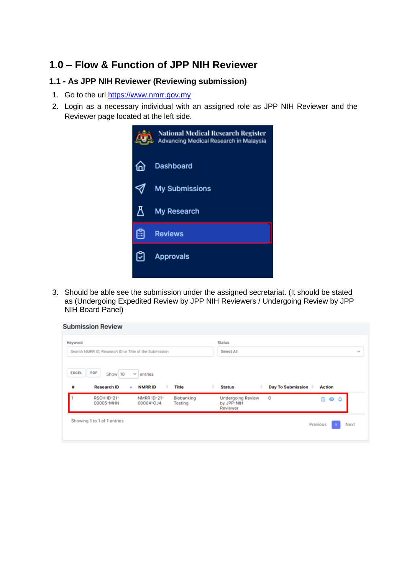### **1.0 – Flow & Function of JPP NIH Reviewer**

#### **1.1 - As JPP NIH Reviewer (Reviewing submission)**

- 1. Go to the url https://www.nmrr.gov.my
- 2. Login as a necessary individual with an assigned role as JPP NIH Reviewer and the Reviewer page located at the left side.



3. Should be able see the submission under the assigned secretariat. (It should be stated as (Undergoing Expedited Review by JPP NIH Reviewers / Undergoing Review by JPP NIH Board Panel)

| Keyword<br>Search NMRR ID, Research ID or Title of the Submission |                                      |                                         |                       | <b>Status</b><br>Select All                        |                          |                        | w |
|-------------------------------------------------------------------|--------------------------------------|-----------------------------------------|-----------------------|----------------------------------------------------|--------------------------|------------------------|---|
| EXCEL<br>₩                                                        | PDF<br>Show 10<br><b>Research ID</b> | v<br>entries<br><b>NMRRID</b><br>٠<br>٠ | Title                 | <b>Status</b>                                      | <b>Day To Submission</b> | <b>Action</b>          |   |
|                                                                   | <b>RSCH ID-21-</b><br>00005-MHN      | <b>NMRR ID-21-</b><br>00004-0J4         | Biobanking<br>Testing | <b>Undergoing Review</b><br>by JPP-NIH<br>Reviewer | o                        | $\bullet$ $\circ$<br>m |   |
|                                                                   |                                      |                                         |                       |                                                    |                          |                        |   |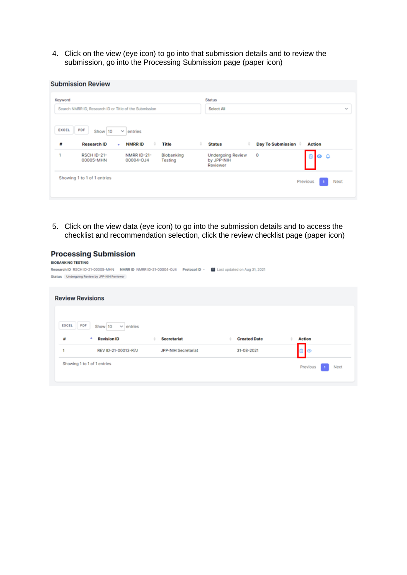4. Click on the view (eye icon) to go into that submission details and to review the submission, go into the Processing Submission page (paper icon)

| Keyword<br>Search NMRR ID, Research ID or Title of the Submission |                                   |                                               |                            | <b>Status</b><br>Select All               |                               |                                    | w |
|-------------------------------------------------------------------|-----------------------------------|-----------------------------------------------|----------------------------|-------------------------------------------|-------------------------------|------------------------------------|---|
|                                                                   | PDF<br>Show 10                    | $\sim$<br>entries                             |                            |                                           |                               |                                    |   |
| EXCEL                                                             |                                   |                                               |                            |                                           |                               |                                    |   |
| #                                                                 | <b>Research ID</b><br>RSCH ID-21- | <b>NMRRID</b><br>٠<br>٠<br><b>NMRR ID-21-</b> | <b>Title</b><br>Biobanking | <b>Status</b><br><b>Undergoing Review</b> | <b>Day To Submission</b><br>0 | <b>Action</b><br>$\bullet$ $\circ$ |   |

5. Click on the view data (eye icon) to go into the submission details and to access the checklist and recommendation selection, click the review checklist page (paper icon)

**Processing Submission** 

| <b>BIOBANKING TESTING</b> |                                                                             |                     |                              |                  |
|---------------------------|-----------------------------------------------------------------------------|---------------------|------------------------------|------------------|
|                           | Research ID RSCH ID-21-00005-MHN NMRR ID NMRR ID-21-00004-0J4 Protocol ID - |                     | Last updated on Aug 31, 2021 |                  |
|                           | Status Undergoing Review by JPP-NIH Reviewer                                |                     |                              |                  |
|                           |                                                                             |                     |                              |                  |
|                           |                                                                             |                     |                              |                  |
|                           | <b>Review Revisions</b>                                                     |                     |                              |                  |
|                           |                                                                             |                     |                              |                  |
|                           |                                                                             |                     |                              |                  |
|                           |                                                                             |                     |                              |                  |
|                           |                                                                             |                     |                              |                  |
| EXCEL                     | PDF<br>Show 10<br>$\vee$ entries                                            |                     |                              |                  |
| #                         | <b>Revision ID</b>                                                          | <b>Secretariat</b>  | <b>Created Date</b>          | <b>Action</b>    |
| ٠                         | REV ID-21-00013-R7J                                                         | JPP-NIH Secretariat | 31-08-2021                   | $\circ$          |
|                           |                                                                             |                     |                              |                  |
|                           | Showing 1 to 1 of 1 entries                                                 |                     |                              |                  |
|                           |                                                                             |                     |                              | Previous<br>Next |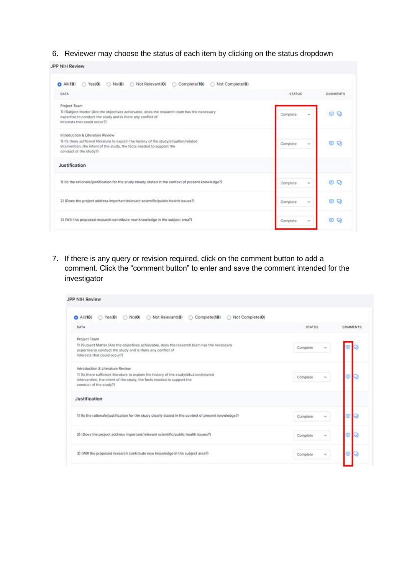6. Reviewer may choose the status of each item by clicking on the status dropdown

| JPP NIH Review |  |  |  |
|----------------|--|--|--|
|                |  |  |  |

| DATA                                                                                                                                                                                                                             | <b>STATUS</b>      | COMMENTS           |
|----------------------------------------------------------------------------------------------------------------------------------------------------------------------------------------------------------------------------------|--------------------|--------------------|
| Project Team<br>1) (Subject Matter (Are the objectives achievable, does the research team has the necessary<br>expertise to conduct the study and is there any conflict of<br>interests that could occur?)                       | Complete<br>$\sim$ | Q<br>⊜             |
| Introduction & Literature Review<br>1) (is there sufficient literature to explain the history of the study/situation/related<br>intervention, the intent of the study, the facts needed to support the<br>conduct of the study?) | Complete<br>$\sim$ | o                  |
| Justification                                                                                                                                                                                                                    |                    |                    |
| 1) (is the rationale/justification for the study clearly stated in the context of present knowledge?)                                                                                                                            | Complete<br>$\sim$ | Q<br>œ             |
| 2) (Does the project address important/relevant scientific/public health issues?)                                                                                                                                                | Complete<br>$\sim$ | $\circ$<br>$\circ$ |
| 3) (Will the proposed research contribute new knowledge in the subject area?)                                                                                                                                                    | Complete<br>×      | U.Q                |

7. If there is any query or revision required, click on the comment button to add a comment. Click the "comment button" to enter and save the comment intended for the investigator

| JPP NIH Review                                                                                                                                                                                                                   |                    |          |
|----------------------------------------------------------------------------------------------------------------------------------------------------------------------------------------------------------------------------------|--------------------|----------|
| Not Relevant(0)<br>Complete(18)<br>Not Complete(0)<br>Yes(0)<br>$O$ All $(18)$<br>No(0)<br>o<br>o<br>DATA                                                                                                                        | <b>STATUS</b>      | COMMENTS |
| Project Team<br>1) (Subject Matter (Are the objectives achievable, does the research team has the necessary<br>expertise to conduct the study and is there any conflict of<br>interests that could occur?)                       | Complete           |          |
| Introduction & Literature Review<br>1) (is there sufficient literature to explain the history of the study/situation/related<br>intervention, the intent of the study, the facts needed to support the<br>conduct of the study?) | Complete<br>$\sim$ |          |
| Justification                                                                                                                                                                                                                    |                    |          |
| 1) (is the rationale/justification for the study clearly stated in the context of present knowledge?)                                                                                                                            | Complete<br>w      |          |
| 2) (Does the project address important/relevant scientific/public health issues?)                                                                                                                                                | Complete           |          |
| 3) (Will the proposed research contribute new knowledge in the subject area?)                                                                                                                                                    | Complete<br>×      |          |
|                                                                                                                                                                                                                                  |                    |          |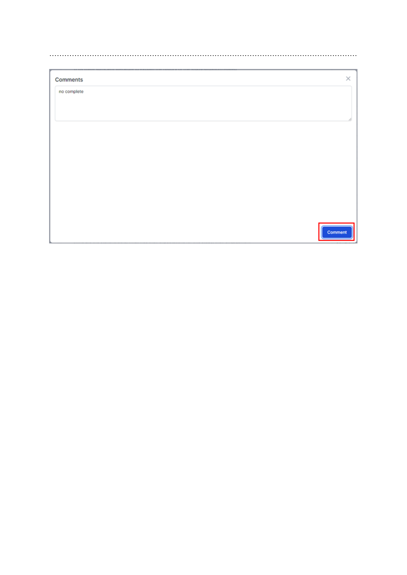| no complete |  |
|-------------|--|
|             |  |
|             |  |
|             |  |
|             |  |
|             |  |
|             |  |
|             |  |
|             |  |
|             |  |
|             |  |
|             |  |
| Comment     |  |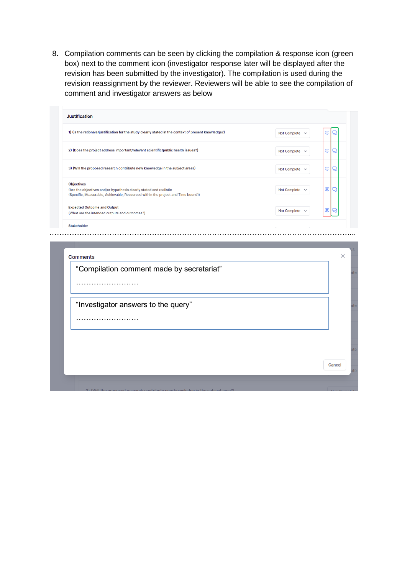8. Compilation comments can be seen by clicking the compilation & response icon (green box) next to the comment icon (investigator response later will be displayed after the revision has been submitted by the investigator). The compilation is used during the revision reassignment by the reviewer. Reviewers will be able to see the compilation of comment and investigator answers as below

| 1) (Is the rationale/justification for the study clearly stated in the context of present knowledge?)                                                                       |  | Not Complete | ⊜ | Q |
|-----------------------------------------------------------------------------------------------------------------------------------------------------------------------------|--|--------------|---|---|
| 2) (Does the project address important/relevant scientific/public health issues?)                                                                                           |  | Not Complete | ⊜ | Q |
| 3) (Will the proposed research contribute new knowledge in the subject area?)                                                                                               |  | Not Complete | ⊜ | Q |
| <b>Objectives</b><br>(Are the objectives and/or hypothesis clearly stated and realistic<br>(Specific, Measurable, Achievable, Resourced within the project and Time bound)) |  | Not Complete | ⊜ | Q |
| <b>Expected Outcome and Output</b><br>(What are the intended outputs and outcomes?)                                                                                         |  | Not Complete | ⊜ | Q |
| <b>Stakeholder</b><br><b>Comments</b>                                                                                                                                       |  |              |   |   |
| "Compilation comment made by secretariat"                                                                                                                                   |  |              |   |   |
| .                                                                                                                                                                           |  |              |   |   |
| "Investigator answers to the query"                                                                                                                                         |  |              |   |   |
| .                                                                                                                                                                           |  |              |   |   |
|                                                                                                                                                                             |  |              |   |   |
|                                                                                                                                                                             |  |              |   |   |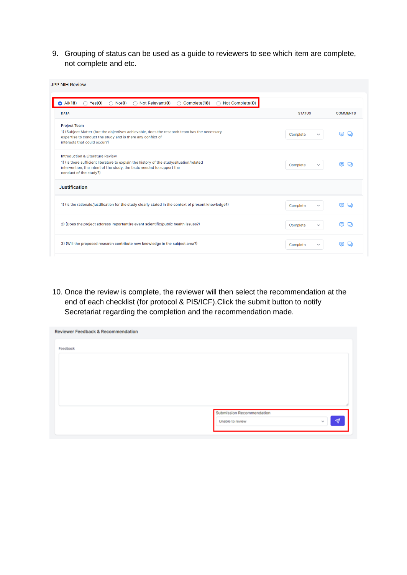9. Grouping of status can be used as a guide to reviewers to see which item are complete, not complete and etc.

| <b>JPP NIH Review</b>                                                                                                                                                                                                                       |                          |                 |
|---------------------------------------------------------------------------------------------------------------------------------------------------------------------------------------------------------------------------------------------|--------------------------|-----------------|
| All(18)<br>Not Relevant(0)<br>Not Complete(0)<br>Yes(0)<br>$\bigcirc$ No(0)<br>Complete(18)<br>∩<br>∩<br>О                                                                                                                                  |                          |                 |
| <b>DATA</b>                                                                                                                                                                                                                                 | <b>STATUS</b>            | <b>COMMENTS</b> |
| <b>Project Team</b><br>1) (Subject Matter (Are the objectives achievable, does the research team has the necessary<br>expertise to conduct the study and is there any conflict of<br>interests that could occur?)                           | Complete<br>$\checkmark$ | ⊜               |
| <b>Introduction &amp; Literature Review</b><br>1) (Is there sufficient literature to explain the history of the study/situation/related<br>intervention, the intent of the study, the facts needed to support the<br>conduct of the study?) | Complete<br>$\checkmark$ | 8               |
| Justification                                                                                                                                                                                                                               |                          |                 |
| 1) (Is the rationale/justification for the study clearly stated in the context of present knowledge?)                                                                                                                                       | Complete<br>$\checkmark$ | ⊟               |
| 2) (Does the project address important/relevant scientific/public health issues?)                                                                                                                                                           | Complete<br>$\checkmark$ | ⊟               |
| 3) (Will the proposed research contribute new knowledge in the subject area?)                                                                                                                                                               | Complete<br>$\checkmark$ | Θ               |

10. Once the review is complete, the reviewer will then select the recommendation at the end of each checklist (for protocol & PIS/ICF).Click the submit button to notify Secretariat regarding the completion and the recommendation made.

| Reviewer Feedback & Recommendation |                                               |             |
|------------------------------------|-----------------------------------------------|-------------|
| Feedback                           |                                               |             |
|                                    |                                               |             |
|                                    |                                               |             |
|                                    |                                               |             |
|                                    |                                               |             |
|                                    | Submission Recommendation<br>Unable to review | ∢<br>أحداثا |
|                                    |                                               |             |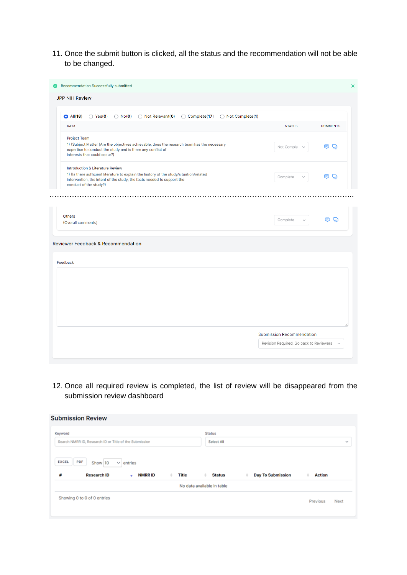11. Once the submit button is clicked, all the status and the recommendation will not be able to be changed.

| <b>JPP NIH Review</b>                                                                                                                                                                                                                       |                                  |                 |
|---------------------------------------------------------------------------------------------------------------------------------------------------------------------------------------------------------------------------------------------|----------------------------------|-----------------|
| $\bigcirc$ Not Relevant(0)<br>◯ Complete(17) ◯ Not Complete(1)<br>$O$ All(18)<br>$\bigcirc$ Yes(0)<br>$\bigcirc$ No(0)                                                                                                                      |                                  |                 |
| <b>DATA</b>                                                                                                                                                                                                                                 | <b>STATUS</b>                    | <b>COMMENTS</b> |
| <b>Project Team</b><br>1) (Subject Matter (Are the objectives achievable, does the research team has the necessary<br>expertise to conduct the study and is there any conflict of<br>interests that could occur?)                           | Not Comple:                      | e o             |
| <b>Introduction &amp; Literature Review</b><br>1) (Is there sufficient literature to explain the history of the study/situation/related<br>intervention, the intent of the study, the facts needed to support the<br>conduct of the study?) | Complete                         | e o             |
| <b>Others</b><br>(Overall comments)                                                                                                                                                                                                         | Complete                         | e o             |
| <b>Reviewer Feedback &amp; Recommendation</b>                                                                                                                                                                                               |                                  |                 |
| Feedback                                                                                                                                                                                                                                    |                                  |                 |
|                                                                                                                                                                                                                                             |                                  |                 |
|                                                                                                                                                                                                                                             |                                  |                 |
|                                                                                                                                                                                                                                             |                                  |                 |
|                                                                                                                                                                                                                                             |                                  |                 |
|                                                                                                                                                                                                                                             |                                  |                 |
|                                                                                                                                                                                                                                             | <b>Submission Recommendation</b> |                 |

12. Once all required review is completed, the list of review will be disappeared from the submission review dashboard

|              | <b>Submission Review</b>                               |                    |                   |                            |                               |                    |  |  |
|--------------|--------------------------------------------------------|--------------------|-------------------|----------------------------|-------------------------------|--------------------|--|--|
| Keyword      |                                                        |                    |                   |                            | <b>Status</b>                 |                    |  |  |
|              | Search NMRR ID, Research ID or Title of the Submission |                    |                   |                            | Select All                    |                    |  |  |
| <b>EXCEL</b> | PDF<br>Show 10                                         | $\vee$ entries     |                   |                            |                               |                    |  |  |
| #            | <b>Research ID</b>                                     | <b>NMRRID</b><br>۰ | <b>Title</b><br>٠ | <b>Status</b><br>٠         | <b>Day To Submission</b><br>٠ | <b>Action</b><br>٠ |  |  |
|              |                                                        |                    |                   | No data available in table |                               |                    |  |  |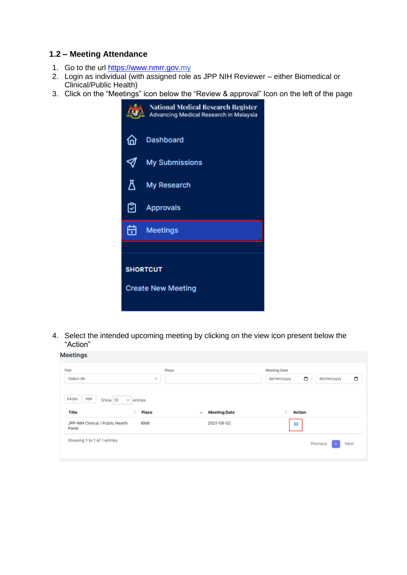#### **1.2 – Meeting Attendance**

- 1. Go to the url [https://www.nmrr.gov.m](https://www.nmrr.gov./)y
- 2. Login as individual (with assigned role as JPP NIH Reviewer either Biomedical or Clinical/Public Health)
- 3. Click on the "Meetings" icon below the "Review & approval" Icon on the left of the page

|                           | <b>National Medical Research Register</b><br>Advancing Medical Research in Malaysia |  |  |
|---------------------------|-------------------------------------------------------------------------------------|--|--|
| 位                         | <b>Dashboard</b>                                                                    |  |  |
|                           | <b>My Submissions</b>                                                               |  |  |
| Л                         | My Research                                                                         |  |  |
| ෆු                        | <b>Approvals</b>                                                                    |  |  |
| 尙                         | <b>Meetings</b>                                                                     |  |  |
|                           |                                                                                     |  |  |
|                           | <b>SHORTCUT</b>                                                                     |  |  |
| <b>Create New Meeting</b> |                                                                                     |  |  |

4. Select the intended upcoming meeting by clicking on the view icon present below the "Action"

| Title<br>-Select All-<br>$\mathcal{H}_{\mathcal{C}}$<br>PDF<br>EXCEL<br>Show 10<br>$\vee$ entries | Place                                  | <b>Meeting Date</b><br>▭<br>□<br>dd/mm/yyyy<br>dd/mm/yyyy |
|---------------------------------------------------------------------------------------------------|----------------------------------------|-----------------------------------------------------------|
| Title<br>Place<br>JPP-NIH Clinical / Public Health<br>BM6<br>Panel                                | <b>Meeting Date</b><br>٠<br>2021-09-02 | <b>Action</b><br>$\bullet$                                |
| Showing 1 to 1 of 1 entries                                                                       |                                        | Previous<br>Next                                          |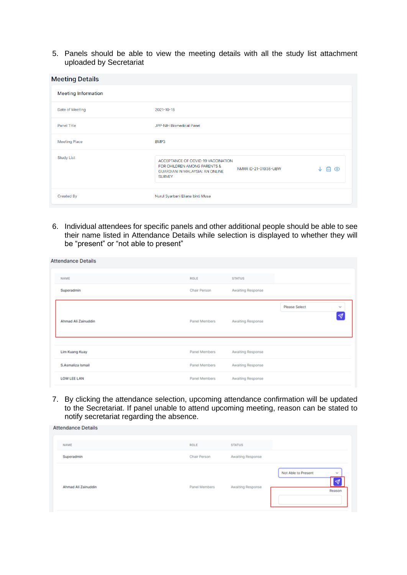5. Panels should be able to view the meeting details with all the study list attachment uploaded by Secretariat

| <b>Meeting Details</b>     |                                                                                                                                                                       |
|----------------------------|-----------------------------------------------------------------------------------------------------------------------------------------------------------------------|
| <b>Meeting Information</b> |                                                                                                                                                                       |
| Date of Meeting            | 2021-10-18                                                                                                                                                            |
| <b>Panel Title</b>         | JPP-NIH Biomedical Panel                                                                                                                                              |
| <b>Meeting Place</b>       | BMP3                                                                                                                                                                  |
| <b>Study List</b>          | ACCEPTANCE OF COVID-19 VACCINATION<br>FOR CHILDREN AMONG PARENTS &<br>NMRR ID-21-01936-UBW<br>$\odot$<br>圖<br><b>GUARDIAN IN MALAYSIA: AN ONLINE</b><br><b>SURVEY</b> |
| <b>Created By</b>          | Nurul Syarbani Eliana binti Musa                                                                                                                                      |

6. Individual attendees for specific panels and other additional people should be able to see their name listed in Attendance Details while selection is displayed to whether they will be "present" or "not able to present"

| ROLE                           | <b>STATUS</b>                          |                                                    |  |
|--------------------------------|----------------------------------------|----------------------------------------------------|--|
| Chair Person                   | Awaiting Response                      |                                                    |  |
| Panel Members                  | Awaiting Response                      | Please Select<br>$\mathcal{N}_{\mathcal{C}}$<br>∣∢ |  |
| Panel Members                  | Awaiting Response                      |                                                    |  |
| Panel Members<br>Panel Members | Awaiting Response<br>Awaiting Response |                                                    |  |
|                                |                                        |                                                    |  |

7. By clicking the attendance selection, upcoming attendance confirmation will be updated to the Secretariat. If panel unable to attend upcoming meeting, reason can be stated to notify secretariat regarding the absence.

| <b>Attendance Details</b> |               |                   |                                                                        |
|---------------------------|---------------|-------------------|------------------------------------------------------------------------|
| NAME                      | ROLE          | <b>STATUS</b>     |                                                                        |
| Superadmin                | Chair Person  | Awaiting Response |                                                                        |
| Ahmad Ali Zainuddin       | Panel Members | Awaiting Response | Not Able to Present<br>$\mathcal{A}$<br>$\blacktriangleleft$<br>Reason |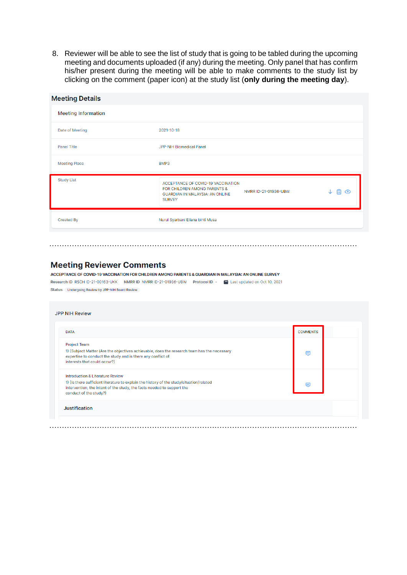8. Reviewer will be able to see the list of study that is going to be tabled during the upcoming meeting and documents uploaded (if any) during the meeting. Only panel that has confirm his/her present during the meeting will be able to make comments to the study list by clicking on the comment (paper icon) at the study list (only during the meeting day).

| <b>Meeting Details</b>     |                                                                                                                                                          |
|----------------------------|----------------------------------------------------------------------------------------------------------------------------------------------------------|
| <b>Meeting Information</b> |                                                                                                                                                          |
| Date of Meeting            | 2021-10-18                                                                                                                                               |
| <b>Panel Title</b>         | JPP-NIH Biomedical Panel                                                                                                                                 |
| <b>Meeting Place</b>       | BMP3                                                                                                                                                     |
| <b>Study List</b>          | ACCEPTANCE OF COVID-19 VACCINATION<br>FOR CHILDREN AMONG PARENTS &<br>NMRR ID-21-01936-UBW<br>岡<br>⊙<br>GUARDIAN IN MALAYSIA: AN ONLINE<br><b>SURVEY</b> |
| <b>Created By</b>          | Nurul Syarbani Eliana binti Musa                                                                                                                         |

#### **Meeting Reviewer Comments**

ACCEPTANCE OF COVID-19 VACCINATION FOR CHILDREN AMONG PARENTS & GUARDIAN IN MALAYSIA: AN ONLINE SURVEY Research ID RSCH ID-21-00163-UKK NMRR ID NMRR ID-21-01936-UBW Protocol ID - 2 Last updated on Oct 10, 2021 Status Undergoing Review by JPP-NIH Board Review

| <b>DATA</b>                                                                                                                                                                                  | <b>COMMENTS</b> |
|----------------------------------------------------------------------------------------------------------------------------------------------------------------------------------------------|-----------------|
| Project Team                                                                                                                                                                                 |                 |
| 1) (Subject Matter (Are the objectives achievable, does the research team has the necessary<br>expertise to conduct the study and is there any conflict of<br>interests that could occur?)   | 目               |
| <b>Introduction &amp; Literature Review</b>                                                                                                                                                  |                 |
| 1) (Is there sufficient literature to explain the history of the study/situation/related<br>intervention, the intent of the study, the facts needed to support the<br>conduct of the study?) | ⊟               |
| <b>Justification</b>                                                                                                                                                                         |                 |